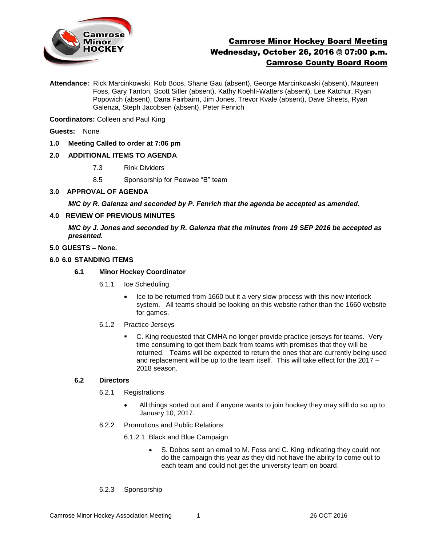

# Camrose Minor Hockey Board Meeting Wednesday, October 26, 2016 @ 07:00 p.m. Camrose County Board Room

**Attendance:** Rick Marcinkowski, Rob Boos, Shane Gau (absent), George Marcinkowski (absent), Maureen Foss, Gary Tanton, Scott Sitler (absent), Kathy Koehli-Watters (absent), Lee Katchur, Ryan Popowich (absent), Dana Fairbairn, Jim Jones, Trevor Kvale (absent), Dave Sheets, Ryan Galenza, Steph Jacobsen (absent), Peter Fenrich

**Coordinators:** Colleen and Paul King

**Guests:** None

**1.0 Meeting Called to order at 7:06 pm**

# **2.0 ADDITIONAL ITEMS TO AGENDA**

- 7.3 Rink Dividers
- 8.5 Sponsorship for Peewee "B" team
- **3.0 APPROVAL OF AGENDA**

*M/C by R. Galenza and seconded by P. Fenrich that the agenda be accepted as amended.* 

# **4.0 REVIEW OF PREVIOUS MINUTES**

*M/C by J. Jones and seconded by R. Galenza that the minutes from 19 SEP 2016 be accepted as presented.*

#### **5.0 GUESTS – None.**

## **6.0 6.0 STANDING ITEMS**

- **6.1 Minor Hockey Coordinator** 
	- 6.1.1 Ice Scheduling
		- Ice to be returned from 1660 but it a very slow process with this new interlock system. All teams should be looking on this website rather than the 1660 website for games.

## 6.1.2 Practice Jerseys

 C. King requested that CMHA no longer provide practice jerseys for teams. Very time consuming to get them back from teams with promises that they will be returned. Teams will be expected to return the ones that are currently being used and replacement will be up to the team itself. This will take effect for the 2017 – 2018 season.

## **6.2 Directors**

- 6.2.1 Registrations
	- All things sorted out and if anyone wants to join hockey they may still do so up to January 10, 2017.
- 6.2.2 Promotions and Public Relations

6.1.2.1 Black and Blue Campaign

- S. Dobos sent an email to M. Foss and C. King indicating they could not do the campaign this year as they did not have the ability to come out to each team and could not get the university team on board.
- 6.2.3 Sponsorship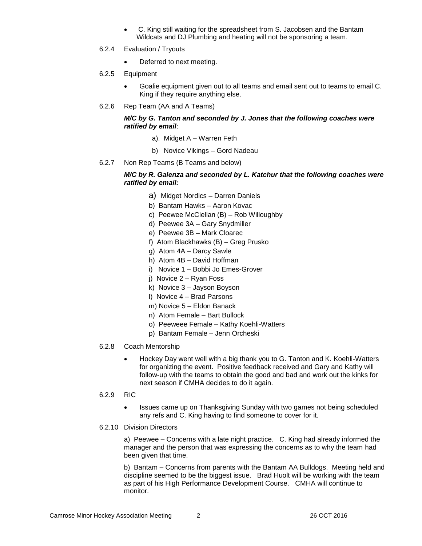- C. King still waiting for the spreadsheet from S. Jacobsen and the Bantam Wildcats and DJ Plumbing and heating will not be sponsoring a team.
- 6.2.4 Evaluation / Tryouts
	- Deferred to next meeting.
- 6.2.5 Equipment
	- Goalie equipment given out to all teams and email sent out to teams to email C. King if they require anything else.
- 6.2.6 Rep Team (AA and A Teams)

# *M/C by G. Tanton and seconded by J. Jones that the following coaches were ratified by email*:

- a). Midget A Warren Feth
- b) Novice Vikings Gord Nadeau
- 6.2.7 Non Rep Teams (B Teams and below)

# *M/C by R. Galenza and seconded by L. Katchur that the following coaches were ratified by email:*

- a) Midget Nordics Darren Daniels
- b) Bantam Hawks Aaron Kovac
- c) Peewee McClellan (B) Rob Willoughby
- d) Peewee 3A Gary Snydmiller
- e) Peewee 3B Mark Cloarec
- f) Atom Blackhawks (B) Greg Prusko
- g) Atom 4A Darcy Sawle
- h) Atom 4B David Hoffman
- i) Novice 1 Bobbi Jo Emes-Grover
- j) Novice 2 Ryan Foss
- k) Novice 3 Jayson Boyson
- l) Novice 4 Brad Parsons
- m) Novice 5 Eldon Banack
- n) Atom Female Bart Bullock
- o) Peeweee Female Kathy Koehli-Watters
- p) Bantam Female Jenn Orcheski
- 6.2.8 Coach Mentorship
	- Hockey Day went well with a big thank you to G. Tanton and K. Koehli-Watters for organizing the event. Positive feedback received and Gary and Kathy will follow-up with the teams to obtain the good and bad and work out the kinks for next season if CMHA decides to do it again.
- 6.2.9 RIC
	- Issues came up on Thanksgiving Sunday with two games not being scheduled any refs and C. King having to find someone to cover for it.

#### 6.2.10 Division Directors

a) Peewee – Concerns with a late night practice. C. King had already informed the manager and the person that was expressing the concerns as to why the team had been given that time.

b) Bantam – Concerns from parents with the Bantam AA Bulldogs. Meeting held and discipline seemed to be the biggest issue. Brad Huolt will be working with the team as part of his High Performance Development Course. CMHA will continue to monitor.